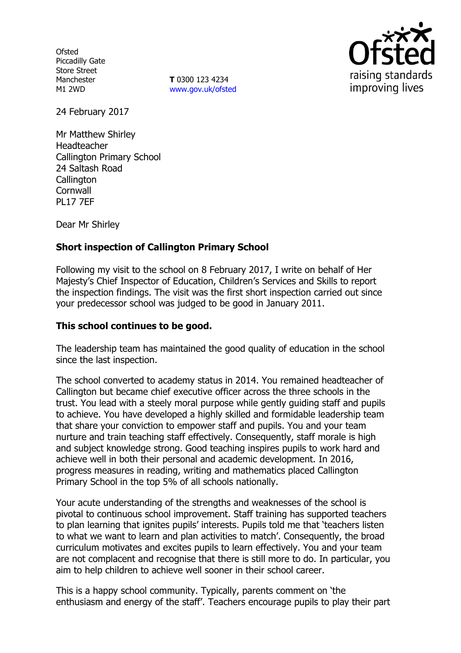**Ofsted** Piccadilly Gate Store Street Manchester M1 2WD

**T** 0300 123 4234 www.gov.uk/ofsted



24 February 2017

Mr Matthew Shirley Headteacher Callington Primary School 24 Saltash Road **Callington Cornwall** PL17 7EF

Dear Mr Shirley

### **Short inspection of Callington Primary School**

Following my visit to the school on 8 February 2017, I write on behalf of Her Majesty's Chief Inspector of Education, Children's Services and Skills to report the inspection findings. The visit was the first short inspection carried out since your predecessor school was judged to be good in January 2011.

#### **This school continues to be good.**

The leadership team has maintained the good quality of education in the school since the last inspection.

The school converted to academy status in 2014. You remained headteacher of Callington but became chief executive officer across the three schools in the trust. You lead with a steely moral purpose while gently guiding staff and pupils to achieve. You have developed a highly skilled and formidable leadership team that share your conviction to empower staff and pupils. You and your team nurture and train teaching staff effectively. Consequently, staff morale is high and subject knowledge strong. Good teaching inspires pupils to work hard and achieve well in both their personal and academic development. In 2016, progress measures in reading, writing and mathematics placed Callington Primary School in the top 5% of all schools nationally.

Your acute understanding of the strengths and weaknesses of the school is pivotal to continuous school improvement. Staff training has supported teachers to plan learning that ignites pupils' interests. Pupils told me that 'teachers listen to what we want to learn and plan activities to match'. Consequently, the broad curriculum motivates and excites pupils to learn effectively. You and your team are not complacent and recognise that there is still more to do. In particular, you aim to help children to achieve well sooner in their school career.

This is a happy school community. Typically, parents comment on 'the enthusiasm and energy of the staff'. Teachers encourage pupils to play their part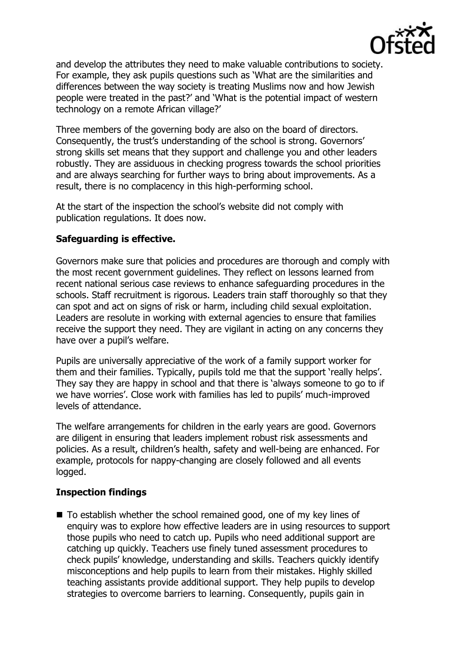

and develop the attributes they need to make valuable contributions to society. For example, they ask pupils questions such as 'What are the similarities and differences between the way society is treating Muslims now and how Jewish people were treated in the past?' and 'What is the potential impact of western technology on a remote African village?'

Three members of the governing body are also on the board of directors. Consequently, the trust's understanding of the school is strong. Governors' strong skills set means that they support and challenge you and other leaders robustly. They are assiduous in checking progress towards the school priorities and are always searching for further ways to bring about improvements. As a result, there is no complacency in this high-performing school.

At the start of the inspection the school's website did not comply with publication regulations. It does now.

# **Safeguarding is effective.**

Governors make sure that policies and procedures are thorough and comply with the most recent government guidelines. They reflect on lessons learned from recent national serious case reviews to enhance safeguarding procedures in the schools. Staff recruitment is rigorous. Leaders train staff thoroughly so that they can spot and act on signs of risk or harm, including child sexual exploitation. Leaders are resolute in working with external agencies to ensure that families receive the support they need. They are vigilant in acting on any concerns they have over a pupil's welfare.

Pupils are universally appreciative of the work of a family support worker for them and their families. Typically, pupils told me that the support 'really helps'. They say they are happy in school and that there is 'always someone to go to if we have worries'. Close work with families has led to pupils' much-improved levels of attendance.

The welfare arrangements for children in the early years are good. Governors are diligent in ensuring that leaders implement robust risk assessments and policies. As a result, children's health, safety and well-being are enhanced. For example, protocols for nappy-changing are closely followed and all events logged.

# **Inspection findings**

■ To establish whether the school remained good, one of my key lines of enquiry was to explore how effective leaders are in using resources to support those pupils who need to catch up. Pupils who need additional support are catching up quickly. Teachers use finely tuned assessment procedures to check pupils' knowledge, understanding and skills. Teachers quickly identify misconceptions and help pupils to learn from their mistakes. Highly skilled teaching assistants provide additional support. They help pupils to develop strategies to overcome barriers to learning. Consequently, pupils gain in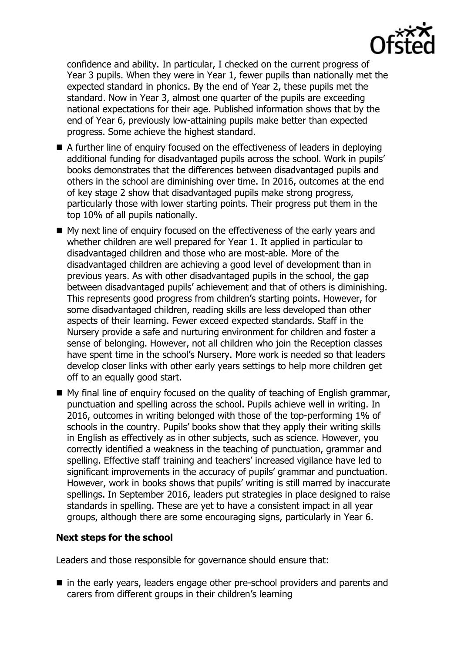confidence and ability. In particular, I checked on the current progress of Year 3 pupils. When they were in Year 1, fewer pupils than nationally met the expected standard in phonics. By the end of Year 2, these pupils met the standard. Now in Year 3, almost one quarter of the pupils are exceeding national expectations for their age. Published information shows that by the end of Year 6, previously low-attaining pupils make better than expected progress. Some achieve the highest standard.

- A further line of enquiry focused on the effectiveness of leaders in deploying additional funding for disadvantaged pupils across the school. Work in pupils' books demonstrates that the differences between disadvantaged pupils and others in the school are diminishing over time. In 2016, outcomes at the end of key stage 2 show that disadvantaged pupils make strong progress, particularly those with lower starting points. Their progress put them in the top 10% of all pupils nationally.
- My next line of enquiry focused on the effectiveness of the early years and whether children are well prepared for Year 1. It applied in particular to disadvantaged children and those who are most-able. More of the disadvantaged children are achieving a good level of development than in previous years. As with other disadvantaged pupils in the school, the gap between disadvantaged pupils' achievement and that of others is diminishing. This represents good progress from children's starting points. However, for some disadvantaged children, reading skills are less developed than other aspects of their learning. Fewer exceed expected standards. Staff in the Nursery provide a safe and nurturing environment for children and foster a sense of belonging. However, not all children who join the Reception classes have spent time in the school's Nursery. More work is needed so that leaders develop closer links with other early years settings to help more children get off to an equally good start.
- My final line of enquiry focused on the quality of teaching of English grammar, punctuation and spelling across the school. Pupils achieve well in writing. In 2016, outcomes in writing belonged with those of the top-performing 1% of schools in the country. Pupils' books show that they apply their writing skills in English as effectively as in other subjects, such as science. However, you correctly identified a weakness in the teaching of punctuation, grammar and spelling. Effective staff training and teachers' increased vigilance have led to significant improvements in the accuracy of pupils' grammar and punctuation. However, work in books shows that pupils' writing is still marred by inaccurate spellings. In September 2016, leaders put strategies in place designed to raise standards in spelling. These are yet to have a consistent impact in all year groups, although there are some encouraging signs, particularly in Year 6.

# **Next steps for the school**

Leaders and those responsible for governance should ensure that:

 in the early years, leaders engage other pre-school providers and parents and carers from different groups in their children's learning